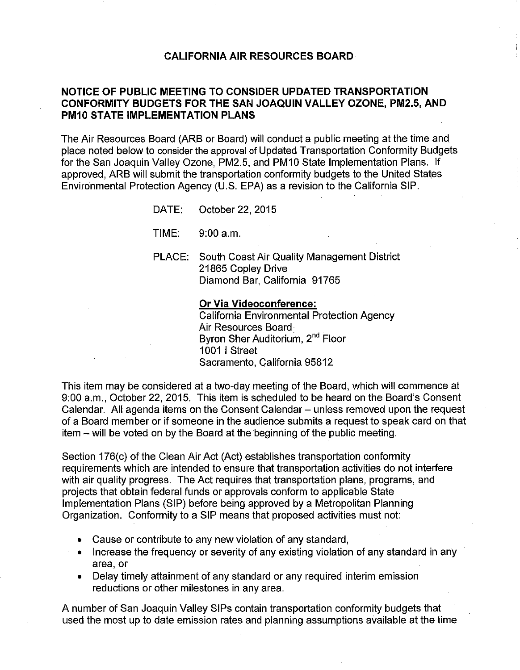### **CALIFORNIA AIR RESOURCES BOARD·**

# **NOTICE OF PUBLIC MEETING TO CONSIDER UPDATED TRANSPORTATION CONFORMITY BUDGETS FOR THE SAN JOAQUIN VALLEY OZONE, PM2.5, AND PM10 STATE IMPLEMENTATION PLANS**

The Air Resources Board (ARB or Board) will conduct a public meeting at the time and place noted below to consider the approval of Updated Transportation Conformity Budgets for the San Joaquin Valley Ozone, PM2.5, and PM10 State Implementation Plans. If approved, ARB will submit the transportation conformity budgets to the United States Environmental Protection Agency (U.S. EPA) as a revision to the California SIP.

DATE: October 22, 2015

TIME: 9:00 a.m.

PLACE: South Coast Air Quality Management District 21865 Copley Drive Diamond Bar, California 91765

#### **Or Via Videoconference:**

California Environmental Protection Agency Air Resources Board Byron Sher Auditorium, 2<sup>nd</sup> Floor 1001 I Street Sacramento, California 95812

This item may be considered at a two-day meeting of the Board, which will commence at 9:00 a.m., October 22, 2015. This item is scheduled to be heard on the Board's Consent Calendar. All agenda items on the Consent Calendar - unless removed upon the request of a Board member or if someone in the audience submits a request to speak card on that item - will be voted on by the Board at the beginning of the public meeting.

Section 176(c) of the Clean Air Act (Act) establishes transportation conformity requirements which are intended to ensure that transportation activities do not interfere with air quality progress. The Act requires that transportation plans, programs, and projects that obtain federal funds or approvals conform to applicable State Implementation Plans (SIP) before being approved by a Metropolitan Planning Organization. Conformity to a SIP means that proposed activities must not:

- Cause or contribute to any new violation of any standard,
- Increase the frequency or severity of any existing violation of any standard in any area, or
- Delay timely attainment of any standard or any required interim emission reductions or other milestones in any area.

A number of San Joaquin Valley SIPs contain transportation conformity budgets that used the most up to date emission rates and planning assumptions available at the time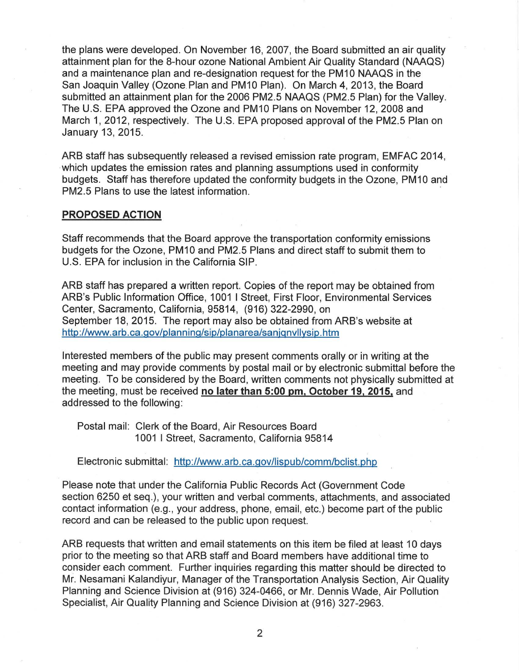the plans were developed. On November 16, 2007, the Board submitted an air quality attainment plan for the 8-hour ozone National Ambient Air Quality Standard (NAAQS) and a maintenance plan and re-designation request for the PM10 NAAQS in the San Joaquin Valley (Ozone.Plan and PM10 Plan). On March 4, 2013, the Board submitted an attainment plan for the 2006 PM2.5 NAAQS (PM2.5 Plan) for the Valley. The U.S. EPA approved the Ozone and PM10 Plans on November 12, 2008 and March 1, 2012, respectively. The U.S. EPA proposed approval of the PM2.5 Plan on January 13, 2015.

ARB staff has subsequently released a revised emission rate program, EMFAC 2014, which updates the emission rates and planning assumptions used in conformity budgets. Staff has therefore updated the conformity budgets in the Ozone, PM10 and PM2.5 Plans to use the latest information.

#### **PROPOSED ACTION**

Staff recommends that the Board approve the transportation conformity emissions budgets for the Ozone, PM 10 and PM2.5 Plans and direct staff to submit them to U.S. EPA for inclusion in the California SIP.

ARB staff has prepared a written report. Copies of the report may be obtained from ARB's Public Information Office, 1001 I Street, First Floor, Environmental Services Center, Sacramento, California, 95814, (916) 322-2990, on September 18, 2015. The report may also be obtained from ARB's website at <http://www.arb.ca.gov/planning/sip/planarea/sanjqnvllysip.htm>

Interested members of the public may present comments orally or in writing at the meeting and may provide comments by postal mail or by electronic submittal before the meeting. To be considered by the Board, written comments not physically submitted at the meeting, must be received **no later than 5:00 pm, October 19, 2015,** and addressed to the following:

Postal mail: Clerk of the Board, Air Resources Board 1001 I Street, Sacramento, California 95814

Electronic submittal: <http://www.arb.ca.gov/lispub/comm/bclist.php>

Please note that under the California Public Records Act (Government Code section 6250 et seq.), your written and verbal comments, attachments, and associated contact information (e.g., your address, phone, email, etc.) become part of the public record and can be released to the public upon request.

ARB requests that written and email statements on this item be filed at least 10 days prior to the meeting so that ARB staff and Board members have additional time to consider each comment. Further inquiries regarding this matter should be directed to Mr. Nesamani Kalandiyur, Manager of the Transportation Analysis Section, Air Quality Planning and Science Division at (916) 324-0466, or Mr. Dennis Wade, Air Pollution Specialist, Air Quality Planning and Science Division at (916) 327-2963.